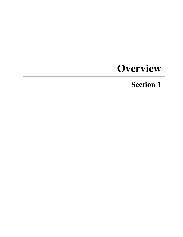# **Overview**

## **Section 1**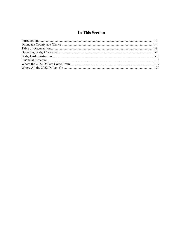## **In This Section**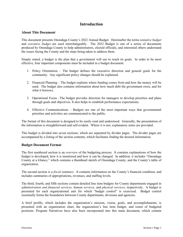## **Introduction**

#### **About This Document**

This document presents Onondaga County's 2022 Annual Budget. Hereinafter the terms *tentative budget*  and *executive budget* are used interchangeably. The 2022 Budget is one of a series of documents produced by Onondaga County to help administrators, elected officials, and interested others understand the issues facing the County and the steps being taken to address them.

Simply stated, a budget is the plan that a government will use to reach its goals. In order to be most effective, four important components must be included in a budget document.

- 1. Policy Orientation The budget defines the executive direction and general goals for the community. Any significant policy changes should be explained.
- 2. Financial Planning The budget explains where funding comes from and how the money will be used. The budget also contains information about how much debt the government owes, and for what it borrows.
- 3. Operational Focus –The budget provides direction for managers to develop priorities and plans through goals and objectives. It also helps to establish performance expectations.
- 4. Effective Communications Budgets are one of the most important ways that governmental priorities and activities are communicated to the public.

The format of this document is designed to be easily read and understood. Generally, the presentation of the information is straightforward and self-evident. Where it is not, explanatory notes are provided.

This budget is divided into seven sections, which are separated by divider pages. The divider pages are accompanied by a listing of the section contents, which facilitates finding the desired information.

#### **Budget Document Format**

The first numbered section is an *overview* of the budgeting process. It contains explanations of how the budget is developed, how it is monitored and how it can be changed. In addition, it includes "Onondaga County at a Glance," which contains a thumbnail sketch of Onondaga County, and the County's table of organization.

The second section is a *fiscal summary*. It contains information on the County's financial condition, and includes summaries of appropriations, revenues, and staffing levels.

The third, fourth, and fifth sections contain detailed line item budgets for County departments engaged in *administration and financial services, human services,* and *physical services,* respectively. A budget is presented for each organizational unit for which "budget control" is exercised. Budget control essentially forms the boundaries between County departments, divisions and agencies.

A brief profile, which includes the organization's mission, vision, goals, and accomplishments, is presented with an organization chart, the organization's line item budget, and roster of budgeted positions. Program Narratives have also been incorporated into this main document, which contain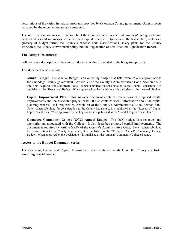descriptions of the varied functional programs provided by Onondaga County government. Grant projects managed by the organization are also presented.

The sixth section contains information about the County's *debt service and capital planning*, including debt schedules and summaries of the debt and capital processes. *Appendices*, the last section, includes a glossary of budget terms, the County's expense code classifications, salary plans for the County workforce, the County's investment policy and the Explanation of Tax Rates and Equalization Report.

#### **The Budget Documents**

Following is a description of the series of documents that are related to the budgeting process.

This document series includes:

**Annual Budget**. The Annual Budget is an operating budget that lists revenues and appropriations for Onondaga County government. Article VI of the County's Administrative Code, Section 6.03b and 6.04 requires the document. Note: When submitted for consideration to the County Legislature, it is published as the "Executive" Budget. When approved by the Legislature it is published as the "Annual" Budget.

**Capital Improvement Plan**. This six-year document contains descriptions of proposed capital improvements and the associated project costs. It also contains useful information about the capital planning process. It is required by Article VI of the County's Administrative Code, Section 6.02. Note: When submitted for consideration to the County Legislature, it is published as the "Executive" Capital Improvement Plan. When approved by the Legislature it is published as the "Capital Improvement Plan."

**Onondaga Community College (OCC) Annual Budget***.* The OCC budget lists revenues and appropriations associated with the College. It also describes proposed capital improvements. The document is required by Article XXIV of the County's Administrative Code. Note: When submitted for consideration to the County Legislature, it is published as the "Tentative Annual" Community College Budget. When approved by the Legislature it is published as the "Annual" Community College Budget**.** 

#### **Access to the Budget Document Series**

The Operating Budget and Capital Improvement documents are available on the County's website, **www.ongov.net/finance/**.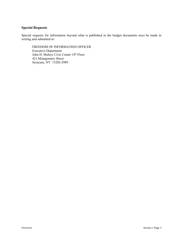#### **Special Requests**

Special requests for information beyond what is published in the budget documents *must* be made in writing and submitted to:

FREEDOM OF INFORMATION OFFICER Executive Department John H. Mulroy Civic Center 14<sup>th</sup> Floor 421 Montgomery Street Syracuse, NY 13202-2989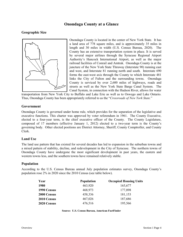## **Onondaga County at a Glance**

#### **Geographic Size**



Onondaga County is located in the center of New York State. It has a land area of 778 square miles, and is approximately 35 miles in length and 30 miles in width (U.S. Census Bureau, 2020). The County has an extensive transportation system in place. It is served by several major airlines through the Syracuse Regional Airport Authority's Hancock International Airport, as well as the major railroad facilities of Conrail and Amtrak. Onondaga County is at the juncture of the New York State Thruway (Interstate 90) running east and west, and Interstate 81 running north and south. Interstate 690 forms the east-west axis through the County to which Interstate 481 links the City of Fulton and the surrounding towns. Onondaga County is serviced by over 2,600 miles of highways, roads and streets as well as the New York State Barge Canal System. The Canal System, in connection with the Hudson River, allows for water

transportation from New York City to Buffalo and Lake Erie as well as to Oswego and Lake Ontario. Thus, Onondaga County has been appropriately referred to as the "*Crossroads of New York State.*"

#### **Government**

Onondaga County is governed under home rule, which provides for the separation of the legislative and executive functions. This charter was approved by voter referendum in 1961. The County Executive, elected to a four-year term, is the chief executive officer of the County. The County Legislature, composed of 17 members (effective January 1, 2012) elected to a two-year term is the County's governing body. Other elected positions are District Attorney, Sheriff, County Comptroller, and County Clerk.

#### **Land Use**

The land use pattern that has existed for several decades has led to expansion in the suburban towns and a mixed pattern of stability, decline, and redevelopment in the City of Syracuse. The northern towns of Onondaga County have undergone the most significant development in past years, the eastern and western towns less, and the southern towns have remained relatively stable.

#### **Population**

According to the U.S. Census Bureau annual July population estimates survey, Onondaga County's population rose 2% in 2020 since the 2010 Census (see table below).

| Year        | <b>Population</b> | <b>Occupied Housing Units</b> |
|-------------|-------------------|-------------------------------|
| 1980        | 463,920           | 165,677                       |
| 1990 Census | 468,973           | 177,898                       |
| 2000 Census | 458,336           | 181,153                       |
| 2010 Census | 467,026           | 187,686                       |
| 2020 Census | 476,516           | 195,566                       |

**Source: U.S. Census Bureau, American FactFinder**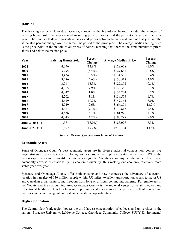#### **Housing**

The housing sector in Onondaga County, shown by the breakdown below, includes the number of existing homes sold, the average median selling price of homes, and the percent change over the prior year. The June YTD data represents all sales and prices between January and June of that year and the associated percent change over the same time period of the prior year. The average median selling price is the price point in the middle of all prices of homes, meaning that there is the same number of prices above and below the median price.

| Year                 | <b>Existing Homes Sold</b> | Percent<br>Change | <b>Average Median Price</b> | Percent<br>Change |
|----------------------|----------------------------|-------------------|-----------------------------|-------------------|
| 2008                 | 4,056                      | $(12.8\%)$        | \$128,668                   | $(1.0\%)$         |
| 2009                 | 3,795                      | $(6.4\%)$         | \$127,661                   | $(0.8\%)$         |
| 2010                 | 3,434                      | $(9.5\%)$         | \$134,558                   | 5.4%              |
| 2011                 | 3,276                      | $(4.6\%)$         | \$130,517                   | $(3.0\%)$         |
| 2012                 | 3,711                      | 13.3%             | \$129,852                   | $(0.5\%)$         |
| 2013                 | 4,005                      | 7.9%              | \$133,356                   | 2.7%              |
| 2014                 | 4,047                      | $1.0\%$           | \$134,244                   | 0.7%              |
| 2015                 | 4,202                      | 3.8%              | \$136,508                   | 1.7%              |
| 2016                 | 4,629                      | 10.2%             | \$147,364                   | 8.0%              |
| 2017                 | 4,749                      | $2.6\%$           | \$166,871                   | 13.2%             |
| 2018                 | 4,317                      | $(9.1\%)$         | \$170,816                   | 2.4%              |
| 2019                 | 4,536                      | $5.1\%$           | \$181,920                   | $1.7\%$           |
| 2020                 | 4,345                      | $(4.2\%)$         | \$198,297                   | $9.0\%$           |
| <b>June 2020 YTD</b> | 1,571                      | $(16.0\%)$        | \$185,077                   | 6.3%              |
| <b>June 2021 YTD</b> | 1,872                      | 19.2%             | \$210,194                   | 13.6%             |

#### **Source: Greater Syracuse Association of Realtors**

#### **Economic Assets**

Some of Onondaga County's best economic assets are its diverse industrial composition, competitive wage structure, reasonable cost of living, and its productive, highly educated work force. While the nation experiences more volatile economic swings, the County's economy is safeguarded from these potentially adverse fluctuations by its economic diversity, thus making our economy relatively more stable year over year.

Syracuse and Onondaga County offer both existing and new businesses the advantage of a central location in a market of 136 million people within 750 miles, excellent transportation access to major US and Canadian urban centers, and freedom from long or difficult commuting patterns. For employees in the County and the surrounding area, Onondaga County is the regional center for retail, medical and educational facilities. It offers housing opportunities at very competitive prices, excellent educational facilities and a wide range of cultural and educational opportunities.

#### **Higher Education**

The Central New York region houses the third largest concentration of colleges and universities in the nation. Syracuse University, LeMoyne College, Onondaga Community College, SUNY Environmental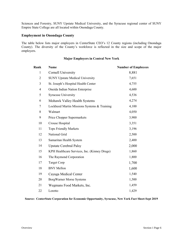Sciences and Forestry, SUNY Upstate Medical University, and the Syracuse regional center of SUNY Empire State College are all located within Onondaga County.

#### **Employment in Onondaga County**

The table below lists major employers in CenterState CEO's 12 County regions (including Onondaga County). The diversity of the County's workforce is reflected in the size and scope of the major employers.

#### **Major Employers in Central New York**

| Rank                     | Name                                         | <b>Number of Employees</b> |
|--------------------------|----------------------------------------------|----------------------------|
| $\mathbf{1}$             | <b>Cornell University</b>                    | 8,881                      |
| $\overline{2}$           | <b>SUNY Upstate Medical University</b>       | 7,651                      |
| 3                        | St. Joseph's Hospital Health Center          | 4,755                      |
| $\overline{\mathcal{A}}$ | Oneida Indian Nation Enterprise              | 4,600                      |
| 5                        | <b>Syracuse University</b>                   | 4,536                      |
| 6                        | Mohawk Valley Health Systems                 | 4,274                      |
| 7                        | Lockheed Martin Missions Systems & Training  | 4,100                      |
| 8                        | Walmart                                      | 4,050                      |
| 9                        | Price Chopper Supermarkets                   | 3,900                      |
| 10                       | Crouse Hospital                              | 3,351                      |
| 11                       | <b>Tops Friendly Markets</b>                 | 3,196                      |
| 12                       | National Grid                                | 2,500                      |
| 13                       | Samaritan Health System                      | 2,400                      |
| 14                       | <b>Upstate Cerebral Palsy</b>                | 2,000                      |
| 15                       | KPH Healthcare Services, Inc. (Kinney Drugs) | 1,860                      |
| 16                       | The Raymond Corporation                      | 1,800                      |
| 17                       | <b>Target Corp</b>                           | 1,700                      |
| 18                       | <b>BNY Mellon</b>                            | 1,600                      |
| 19                       | Cayuga Medical Center                        | 1,540                      |
| 20                       | <b>BorgWarner Morse Systems</b>              | 1,500                      |
| 21                       | Wegmans Food Markets, Inc.                   | 1,459                      |
| 22                       | Loretto                                      | 1,429                      |

#### **Source: CenterState Corporation for Economic Opportunity, Syracuse, New York Fact Sheet-Sept 2019**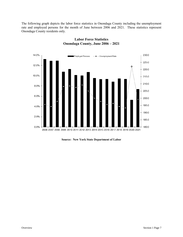The following graph depicts the labor force statistics in Onondaga County including the unemployment rate and employed persons for the month of June between 2006 and 2021. These statistics represent Onondaga County residents only.



#### **Labor Force Statistics Onondaga County, June 2006 – 2021**

**Source: New York State Department of Labor**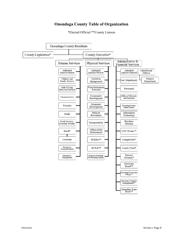## **Onondaga County Table of Organization**



\*Elected Official \*\*County Liaison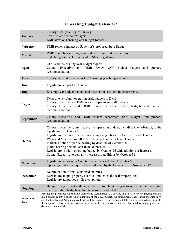|  |  | <b>Operating Budget Calendar*</b> |
|--|--|-----------------------------------|
|--|--|-----------------------------------|

| <b>January</b>       | County fiscal year begins January 1<br>٠<br>Tax bills are sent to taxpayers<br>٠<br>DMB develops ensuing year budget forecast<br>٠                                                                                                                                                                                                                                                                                                                                                                                                                                                   |  |  |
|----------------------|--------------------------------------------------------------------------------------------------------------------------------------------------------------------------------------------------------------------------------------------------------------------------------------------------------------------------------------------------------------------------------------------------------------------------------------------------------------------------------------------------------------------------------------------------------------------------------------|--|--|
| February             | DMB reviews impact of Governor's proposed State Budget<br>٠                                                                                                                                                                                                                                                                                                                                                                                                                                                                                                                          |  |  |
| March                | DMB assembles ensuing year budget manual and instructions<br>٠<br>State budget impact report sent to State Legislators                                                                                                                                                                                                                                                                                                                                                                                                                                                               |  |  |
| April                | OCC submits ensuing year budget request<br>٠<br>County Executive and DMB review OCC budget request<br>and<br>prepare<br>recommendations                                                                                                                                                                                                                                                                                                                                                                                                                                              |  |  |
| <b>May</b>           | County Legislature reviews OCC ensuing year budget request<br>٠                                                                                                                                                                                                                                                                                                                                                                                                                                                                                                                      |  |  |
| June                 | Legislature adopts OCC budget<br>٠                                                                                                                                                                                                                                                                                                                                                                                                                                                                                                                                                   |  |  |
| July                 | Ensuing year budget manual and instructions are sent to departments<br>٠                                                                                                                                                                                                                                                                                                                                                                                                                                                                                                             |  |  |
| <b>August</b>        | Departments submit operating draft budgets to DMB<br>٠<br>County Executive and DMB review department draft budgets<br>County Executive and DMB review department draft budgets and prepare<br>٠<br>recommendations                                                                                                                                                                                                                                                                                                                                                                   |  |  |
| September            | County Executive and DMB review department draft budgets and prepare<br>٠<br>recommendations                                                                                                                                                                                                                                                                                                                                                                                                                                                                                         |  |  |
| <b>October</b>       | County Executive submits executive operating budget, including City Abstract, to the<br>٠<br>legislature by October 5<br>Legislature reviews executive operating budget between October 5 and October 15<br>٠<br>Ways and Means Committee files its Report no later than October 15<br>٠<br>Publish a notice of public hearing by deadline of October 16<br>٠<br>Public hearing held no later than October 21<br>٠<br>Legislature to adopt operating budget by October 26 with additions or increases<br>٠<br>County Executive to veto any increases or additions by October 31<br>٠ |  |  |
| <b>November</b>      | Legislature to consider County Executive's veto by November 5<br>Operating budget is required to be adopted by the Legislature by November 12                                                                                                                                                                                                                                                                                                                                                                                                                                        |  |  |
| <b>December</b>      | Determination of final equalized tax rates<br>٠<br>Legislature adopts property tax rates and levies the real property tax<br>٠<br>Legislature adopts sewer district tax rates<br>٠                                                                                                                                                                                                                                                                                                                                                                                                   |  |  |
| Ongoing              | Budget analysts meet with departments throughout the year to assist them in managing<br>٠<br>their operating budgets within the resources adopted                                                                                                                                                                                                                                                                                                                                                                                                                                    |  |  |
| *Local Law C<br>2021 | Amends the prescribed dates in the Charter and Administrative Code and shall be effective regarding only the<br>2022 annual county budget. Upon adoption of the 2022 budget, the amendments shall expire automatically,<br>and the Charter and Administrative Code shall be restored to the prescribed dates in effect immediately prior to<br>the adoption of this local law, without need for further legislative action, and shall read as though prescribed<br>dates were not amended.                                                                                           |  |  |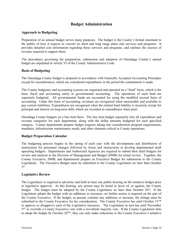## **Budget Administration**

#### **Approach to Budgeting**

Preparation of an annual budget serves many purposes. The budget is the County's formal statement to the public of how it expects to convert its short and long range plans into services and programs. It provides detailed cost information regarding those services and programs, and outlines the sources of revenue required to support them.

The procedures governing the preparation, submission and adoption of Onondaga County's annual budget are stipulated in Article VI of the County Administrative Code.

#### **Basis of Budgeting**

The Onondaga County budget is prepared in accordance with Generally Accepted Accounting Principles except for encumbrances, which are considered expenditures in the period the commitment is made.

The County budgetary and accounting systems are organized and operated on a "fund" basis, which is the basic fiscal and accounting entity in governmental accounting. The operations of each fund are separately budgeted. All governmental funds are accounted for using the modified accrual basis of accounting. Under this basis of accounting, revenues are recognized when measurable and available to pay current liabilities. Expenditures are recognized when the related fund liability is incurred, except for principal and interest on long-term debt, which are recorded as expenditures when paid.

Onondaga County budgets on a line item basis. The line item budget separately lists all expenditure and revenue categories for each department, along with the dollar amounts budgeted for each specified category. County departments prepare budget requests taking into consideration program requirements, mandates, infrastructure maintenance needs, and other elements critical to County operations.

#### **Budget Preparation Calendar**

The budgeting process begins in the spring of each year with the development and distribution of instructions for personnel changes followed by forms and instructions to develop departmental draft operating budgets. Departments and Authorized Agencies are required to submit their draft budgets for review and analysis to the Division of Management and Budget (DMB) for initial review. Together, the County Executive, DMB, and departments prepare an Executive Budget for submission to the County Legislature. The Executive Budget must be submitted to the County Legislature no later than October 5\*.

#### **Legislative Review**

The Legislature is required to advertise and hold at least one public hearing on the tentative budget prior to legislative approval. At this hearing, any person may be heard in favor of, or against, the County budget. The budget must be adopted by the County Legislature no later than October 26\*. If the Legislature adopts the budget with no additions or increases, no further action is required on the part of the County Executive. If the budget, as passed, contains any additions or increase, the change must be submitted to the County Executive for his consideration. The County Executive has until October  $31^{st*}$ to approve or disapprove each of the Legislative increases. The Legislature in turn has until November  $5<sup>th*</sup>$  to override a County Executive veto with a two-thirds majority vote. If the County Legislature fails to adopt the budget by October 26<sup>th\*</sup>, they can only make reductions to the County Executive's tentative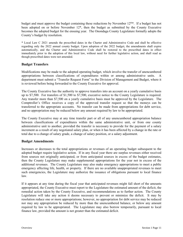budget and must approve the budget containing these reductions by November  $12^{th*}$ . If a budget has not been adopted on or before November 12\*, then the budget as submitted by the County Executive becomes the adopted budget for the ensuing year. The Onondaga County Legislature formally adopts the County's budget by resolution.

\* Local Law C 2021 amends the prescribed dates in the Charter and Administrative Code and shall be effective regarding only the 2022 annual county budget. Upon adoption of the 2022 budget, the amendments shall expire automatically, and the Charter and Administrative Code shall be restored to the prescribed dates in effect immediately prior to the adoption of this local law, without need for further legislative action, and shall read as though prescribed dates were not amended.

#### **Budget Transfers**

Modifications may be made to the adopted operating budget, which involve the transfer of unencumbered appropriations between classifications of expenditures within or among administrative units. A department must submit a "Transfer Request Form" to the Division of Management and Budget, where it is reviewed before being forwarded to the County Executive for approval.

The County Executive has the authority to approve transfers into an account on a yearly cumulative basis up to \$7,500. For transfers of \$1,500 to \$7,500, executive notice to the County Legislature is required. Any transfer more than \$7,500 on a yearly cumulative basis must be approved by the Legislature. The Comptroller's Office receives a copy of the approved transfer request so that the moneys can be transferred to the appropriate accounts. No transfer can be made from appropriations for debt service, and no appropriation may be reduced below any amount required by law to be appropriated.

The County Executive may at any time transfer part or all of any unencumbered appropriation balance between classifications of expenditures within the same administrative unit, or from one county administrative unit to another, provided the transfer is necessary to provide for the payment of a salary increment as a result of any negotiated salary plan, or when it has been affected by a change in the rate or total due to a change of salary grade, a change of salary position, or a salary adjustment.

#### **Budget Amendments**

Increases or decreases to the total appropriations or revenues of an operating budget subsequent to the adopted budget require legislative action. If in any fiscal year there are surplus revenues either received from sources not originally anticipated, or from anticipated sources in excess of the budget estimates, then the County Legislature may make supplemental appropriations for the year not in excess of the additional revenues. The County Legislature may also make emergency appropriations to meet a public emergency affecting life, health, or property. If there are no available unappropriated revenues to meet such emergencies, the Legislature may authorize the issuance of obligations pursuant to local finance law.

If it appears at any time during the fiscal year that anticipated revenues might fall short of the amounts appropriated, the County Executive must report to the Legislature the estimated amount of the deficit, the remedial action taken by the County Executive, and recommendations as to further action. The County Legislature will take any action it deems necessary to prevent or minimize the deficit. It may by resolution reduce one or more appropriations; however, no appropriation for debt service may be reduced nor may any appropriation be reduced by more than the unencumbered balance, or below any amount required by law to be appropriated. The Legislature may also borrow temporarily, pursuant to local finance law, provided the amount is not greater than the estimated deficit.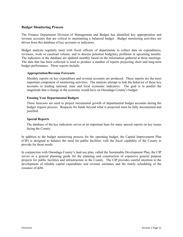#### **Budget Monitoring Process**

The Finance Department Division of Management and Budget has identified key appropriation and revenue accounts that are critical to maintaining a balanced budget. Budget monitoring activities are driven from this database of key accounts or indicators.

Budget analysts regularly meet with fiscal officers of departments to collect data on expenditures, revenues, work or caseload volume, and to discuss potential budgetary problems in upcoming months. The indicators in the database are updated monthly based on the information gathered at these meetings. The data that has been collected is used to produce a number of reports projecting short and long-term budget performance. These reports include:

#### **Appropriation/Revenue Forecasts**

Monthly reports on key expenditure and revenue accounts are produced. These reports are the most important component of monitoring activities. The analysts attempt to link the behavior of these key accounts to leading national, state and local economic indicators. The goal is to predict the magnitude that a change in the economy would have on Onondaga County's budget.

#### **Ensuing Year Departmental Budgets**

These forecasts are used to project incremental growth of departmental budget accounts during the budget request process. Requests for funds beyond what is projected must be fully documented and justified.

#### **Special Reports**

The database of the key indicators serves as an important base for many special reports on key issues facing the County.

In addition to the budget monitoring process for the operating budget, the Capital Improvement Plan (CIP) is designed to balance the need for public facilities with the fiscal capability of the County to provide for those needs.

In conjunction with Onondaga County's land use plan, called the Sustainable Development Plan, the CIP serves as a general planning guide for the planning and construction of expensive general purpose projects for public facilities and infrastructure in the County. The CIP provides careful attention to the development of reliable capital expenditure and revenue estimates and the timely scheduling of the issuance of debt.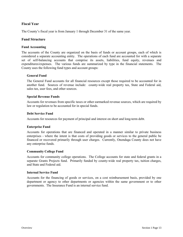#### **Fiscal Year**

The County's fiscal year is from January 1 through December 31 of the same year.

#### **Fund Structure**

#### **Fund Accounting**

The accounts of the County are organized on the basis of funds or account groups, each of which is considered a separate accounting entity. The operations of each fund are accounted for with a separate set of self-balancing accounts that comprise its assets, liabilities, fund equity, revenues and expenditures/expenses. The various funds are summarized by type in the financial statements. The County uses the following fund types and account groups:

#### **General Fund**

The General Fund accounts for all financial resources except those required to be accounted for in another fund. Sources of revenue include: county-wide real property tax, State and Federal aid, sales tax, user fees, and other sources.

#### **Special Revenue Funds**

Accounts for revenues from specific taxes or other earmarked revenue sources, which are required by law or regulation to be accounted for in special funds.

#### **Debt Service Fund**

Accounts for resources for payment of principal and interest on short and long-term debt.

#### **Enterprise Fund**

Accounts for operations that are financed and operated in a manner similar to private business enterprises - where the intent is that costs of providing goods or services to the general public be financed or recovered primarily through user charges. Currently, Onondaga County does not have any enterprise funds.

#### **Community College Fund**

Accounts for community college operations. The College accounts for state and federal grants in a separate Grants Projects fund. Primarily funded by county-wide real property tax, tuition charges, and State and Federal aid.

#### **Internal Service Fund**

Accounts for the financing of goods or services, on a cost reimbursement basis, provided by one department or agency to other departments or agencies within the same government or to other governments. The Insurance Fund is an internal service fund.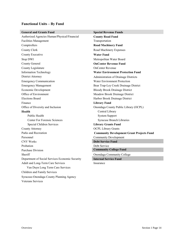## **Functional Units – By Fund**

| <b>General and Grants Fund</b>                  | <b>Special Revenue Funds</b>                     |
|-------------------------------------------------|--------------------------------------------------|
| Authorized Agencies Human/Physical/Financial    | <b>County Road Fund</b>                          |
| <b>Facilities Management</b>                    | Transportation                                   |
| Comptrollers                                    | <b>Road Machinery Fund</b>                       |
| County Clerk                                    | Road Machinery Expenses                          |
| County Executive                                | <b>Water Fund</b>                                |
| Stop DWI                                        | Metropolitan Water Board                         |
| County General                                  | <b>OnCenter Revenue Fund</b>                     |
| County Legislature                              | <b>OnCenter Revenue</b>                          |
| <b>Information Technology</b>                   | <b>Water Environment Protection Fund</b>         |
| <b>District Attorney</b>                        | Administration of Drainage Districts             |
| <b>Emergency Communication</b>                  | Water Environment Protection                     |
| <b>Emergency Management</b>                     | Bear Trap-Ley Creek Drainage District            |
| Economic Development                            | <b>Bloody Brook Drainage District</b>            |
| Office of Environment                           | Meadow Brook Drainage District                   |
| <b>Elections Board</b>                          | Harbor Brook Drainage District                   |
| Finance                                         | <b>Library Fund</b>                              |
| Office of Diversity and Inclusion               | Onondaga County Public Library (OCPL)            |
| <b>Health</b>                                   | Central Library                                  |
| Public Health                                   | <b>System Support</b>                            |
| <b>Center For Forensic Sciences</b>             | Syracuse Branch Libraries                        |
| Special Children Services                       | <b>Library Grants Fund</b>                       |
| County Attorney                                 | <b>OCPL Library Grants</b>                       |
| Parks and Recreation                            | <b>Community Development Grant Projects Fund</b> |
| Personnel                                       | <b>Community Development</b>                     |
| <b>CNY Works</b>                                | <b>Debt Service Fund</b>                         |
| Probation                                       | Debt Service                                     |
| <b>Purchase Division</b>                        | <b>Community College Fund</b>                    |
| Sheriff                                         | Onondaga Community College                       |
| Department of Social Services Economic Security | <b>Internal Service Fund</b>                     |
| Adult and Long-Term Care Services               | Insurance                                        |
| Van Duyn Long Term Care Services                |                                                  |
| Children and Family Services                    |                                                  |
| Syracuse-Onondaga County Planning Agency        |                                                  |
| Veterans Services                               |                                                  |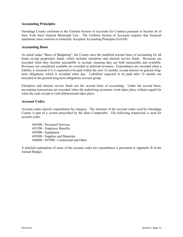#### **Accounting Principles**

Onondaga County conforms to the Uniform System of Accounts for Counties pursuant to Section 36 of New York State General Municipal Law. The Uniform System of Accounts requires that financial statements must conform to Generally Accepted Accounting Principles (GAAP).

#### **Accounting Basis**

As noted under "Basis of Budgeting", the County uses the modified accrual basis of accounting for all funds except proprietary funds, which includes enterprise and internal service funds. Revenues are recorded when they become susceptible to accrual, meaning they are both measurable and available. Revenues not considered available are recorded as deferred revenues. Expenditures are recorded when a liability is incurred if it is expected to be paid within the next 12 months, except interest on general longterm obligations which is recorded when due. Liabilities expected to be paid after 12 months are recorded in the general long-term obligations account group.

Enterprise and internal service funds use the accrual basis of accounting. Under the accrual basis, accounting transactions are recorded when the underlying economic event takes place without regard for when the cash receipt or cash disbursement takes place.

#### **Account Codes**

Account codes classify expenditures by category. The structure of the account codes used by Onondaga County is part of a system prescribed by the State Comptroller. The following framework is used for account codes.

641000 - Personnel Services 691200 - Employee Benefits 692000 - Equipment 693000 - Supplies and Materials 694000 - 697000 - Contractual and Other

A detailed explanation of some of the account codes for expenditures is presented in Appendix B of the Annual Budget.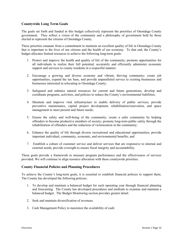#### **Countywide Long Term Goals**

The goals set forth and funded in this budget collectively represent the priorities of Onondaga County government. They reflect a vision of the community and a philosophy of government held by those elected to represent the citizens of Onondaga County.

These priorities emanate from a commitment to maintain an excellent quality of life in Onondaga County that is important to the lives of our citizens and the health of our economy. To that end, the County's budget allocates limited resources to achieve the following long-term goals:

- 1. Protect and improve the health and quality of life of the community; promote opportunities for all individuals to realize their full potential; accurately and efficiently administer economic support and services to county residents in a respectful manner;
- 2. Encourage a growing and diverse economy and vibrant, thriving community; create job opportunities, expand the tax base, and provide unparalleled service to existing businesses and businesses interested in relocating to Onondaga County;
- 3. Safeguard and enhance natural resources for current and future generations; develop and coordinate programs, activities, and policies to reduce the County's environmental liabilities;
- 4. Maintain and improve vital infrastructure to enable delivery of public services; provide preventive maintenance, capital project development, rehabilitation/renovation, and space management to meet present and future needs;
- 5. Ensure the safety and well-being of the community; create a safer community by helping offenders to become productive members of society; promote long-term public safety through the rehabilitation of offenders and the reduction of victimization in the community;
- 6. Enhance the quality of life through diverse recreational and educational opportunities; provide important individual, community, economic, and environmental benefits; and
- 7. Establish a culture of customer service and deliver services that are responsive to internal and external needs; provide oversight to ensure fiscal integrity and accountability.

These goals provide a framework to measure program performance and the effectiveness of services provided. We will continue to align resource allocation with these countywide priorities.

#### **County Financial Policies and Planning Procedures**

To achieve the County's long-term goals, it is essential to establish financial policies to support them. The County has developed the following policies:

- 1. To develop and maintain a balanced budget for each operating year through financial planning and forecasting. The County has developed procedures and methods to examine and maintain a balanced budget. The Budget Monitoring section provides greater detail.
- 2. Seek and maintain diversification of revenues.
- 3. Cash Management Policy to maximize the availability of cash: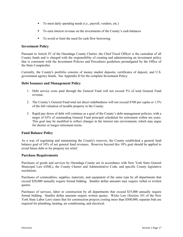- To meet daily spending needs (i.e., payroll, vendors, etc.)
- To earn interest revenue on the investments of the County's cash balances
- To avoid or limit the need for cash flow borrowing

#### **Investment Policy**

Pursuant to Article IV of the Onondaga County Charter, the Chief Fiscal Officer is the custodian of all County funds and is charged with the responsibility of creating and administering an investment policy that is consistent with the Investment Policies and Procedures guidelines promulgated by the Office of the State Comptroller.

Currently, the County's portfolio consists of money market deposits, certificates of deposit, and U.S. government agency bonds. See Appendix D for the complete Investment Policy.

#### **Debt Issuance and Management Policy**

- 1. Debt service costs paid through the General Fund will not exceed 5% of total General Fund revenue.
- 2. The County's General Fund total net direct indebtedness will not exceed \$700 per capita or 1.5% of the full valuation of taxable property in the County.
- 3. Rapid pay down of debt will continue as a goal of the County's debt management policies, with a target of 65% of outstanding General Fund principal scheduled for retirement within ten years. This goal may be modified to reflect changes in the interest rate environment, which may argue for shorter or longer retirement terms.

#### **Fund Balance Policy**

As a way of regulating and maintaining the County's reserves, the County established a general fund balance goal of 10% of net general fund revenues. Reserves beyond this 10% goal should be applied to avoid future debt or for property tax relief.

#### **Purchase Requirements**

Purchases of goods and services by Onondaga County are in accordance with New York State General Municipal Law (GML), the County Charter and Administrative Code, and specific County legislative resolutions.

Purchases of commodities, supplies, materials, and equipment of the same type by all departments that exceed \$20,000 annually require formal bidding. Smaller dollar amounts may require verbal or written quotes.

Purchases of services, labor or construction by all departments that exceed \$35,000 annually require formal bidding. Smaller dollar amounts require written quotes. Wicks Law (Section 101 of the New York State Labor Law) states that for construction projects costing more than \$500,000, separate bids are required for plumbing, heating, air conditioning, and electrical.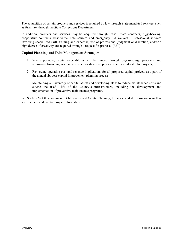The acquisition of certain products and services is required by law through State-mandated services, such as furniture, through the State Corrections Department.

In addition, products and services may be acquired through leases, state contracts, piggybacking, cooperative contracts, best value, sole sources and emergency bid waivers. Professional services involving specialized skill, training and expertise, use of professional judgment or discretion, and/or a high degree of creativity are acquired through a request for proposal (RFP).

#### **Capital Planning and Debt Management Strategies**

- 1. Where possible, capital expenditures will be funded through pay-as-you-go programs and alternative financing mechanisms, such as state loan programs and as federal pilot projects;
- 2. Reviewing operating cost and revenue implications for all proposed capital projects as a part of the annual six-year capital improvement planning process;
- 3. Maintaining an inventory of capital assets and developing plans to reduce maintenance costs and extend the useful life of the County's infrastructure, including the development and implementation of preventive maintenance programs.

See Section 6 of this document, Debt Service and Capital Planning, for an expanded discussion as well as specific debt and capital project information.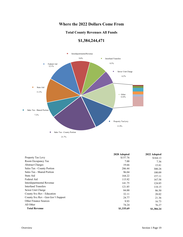## **Where the 2022 Dollars Come From**

## **Total County Revenues All Funds**





|                                    | 2020 Adopted | 2022 Adopted |
|------------------------------------|--------------|--------------|
| Property Tax Levy                  | \$157.76     | \$164.13     |
| Room Occupancy Tax                 | 7.00         | 7.36         |
| <b>Abstract Charges</b>            | 19.66        | 15.81        |
| Sales Tax - County Portion         | 286.44       | 300.28       |
| Sales Tax - Shared Portion         | 96.04        | 100.09       |
| State Aid                          | 164.22       | 157.11       |
| Federal Aid                        | 115.92       | 167.58       |
| Interdepartmental Revenue          | 141.75       | 124.85       |
| <b>Interfund Transfers</b>         | 121.85       | 118.15       |
| Sewer Unit Charge                  | 84.00        | 86.50        |
| County Svc Rev - Education         | 32.11        | 28.02        |
| County Svc Rev - Gen Gov't Support | 24.77        | 21.36        |
| Other Finance Sources              | 9.93         | 16.73        |
| All Other                          | 74.24        | 76.27        |
| <b>Total Revenue</b>               | \$1,335.69   | \$1,384.24   |